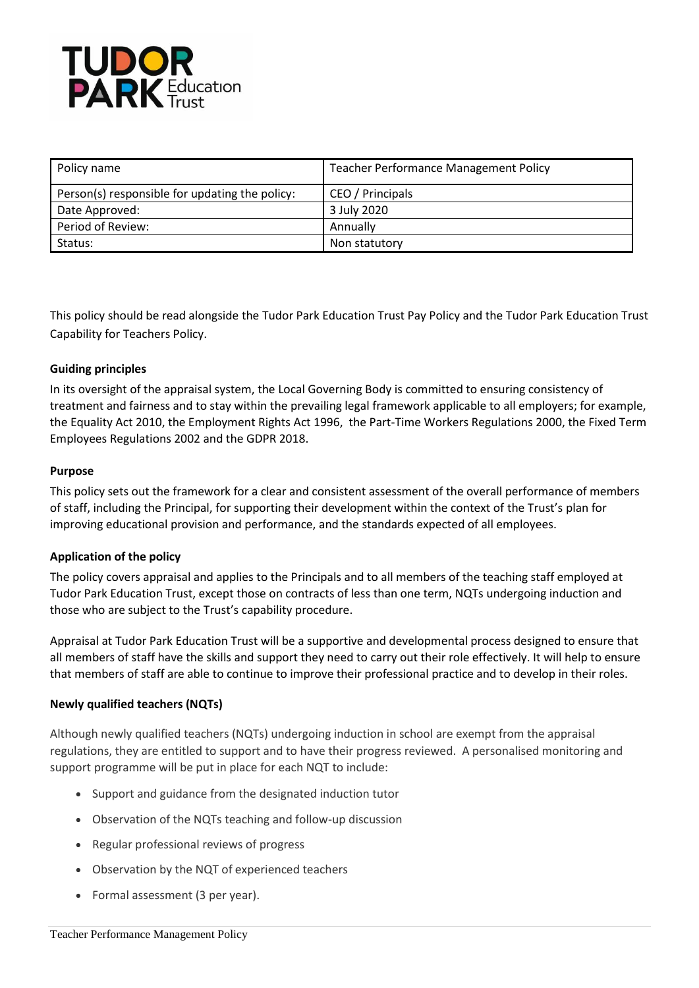

| Policy name                                    | <b>Teacher Performance Management Policy</b> |
|------------------------------------------------|----------------------------------------------|
| Person(s) responsible for updating the policy: | CEO / Principals                             |
| Date Approved:                                 | 3 July 2020                                  |
| Period of Review:                              | Annually                                     |
| Status:                                        | Non statutory                                |

This policy should be read alongside the Tudor Park Education Trust Pay Policy and the Tudor Park Education Trust Capability for Teachers Policy.

# **Guiding principles**

In its oversight of the appraisal system, the Local Governing Body is committed to ensuring consistency of treatment and fairness and to stay within the prevailing legal framework applicable to all employers; for example, the Equality Act 2010, the Employment Rights Act 1996, the Part-Time Workers Regulations 2000, the Fixed Term Employees Regulations 2002 and the GDPR 2018.

#### **Purpose**

This policy sets out the framework for a clear and consistent assessment of the overall performance of members of staff, including the Principal, for supporting their development within the context of the Trust's plan for improving educational provision and performance, and the standards expected of all employees.

### **Application of the policy**

The policy covers appraisal and applies to the Principals and to all members of the teaching staff employed at Tudor Park Education Trust, except those on contracts of less than one term, NQTs undergoing induction and those who are subject to the Trust's capability procedure.

Appraisal at Tudor Park Education Trust will be a supportive and developmental process designed to ensure that all members of staff have the skills and support they need to carry out their role effectively. It will help to ensure that members of staff are able to continue to improve their professional practice and to develop in their roles.

### **Newly qualified teachers (NQTs)**

Although newly qualified teachers (NQTs) undergoing induction in school are exempt from the appraisal regulations, they are entitled to support and to have their progress reviewed. A personalised monitoring and support programme will be put in place for each NQT to include:

- Support and guidance from the designated induction tutor
- Observation of the NQTs teaching and follow-up discussion
- Regular professional reviews of progress
- Observation by the NQT of experienced teachers
- Formal assessment (3 per year).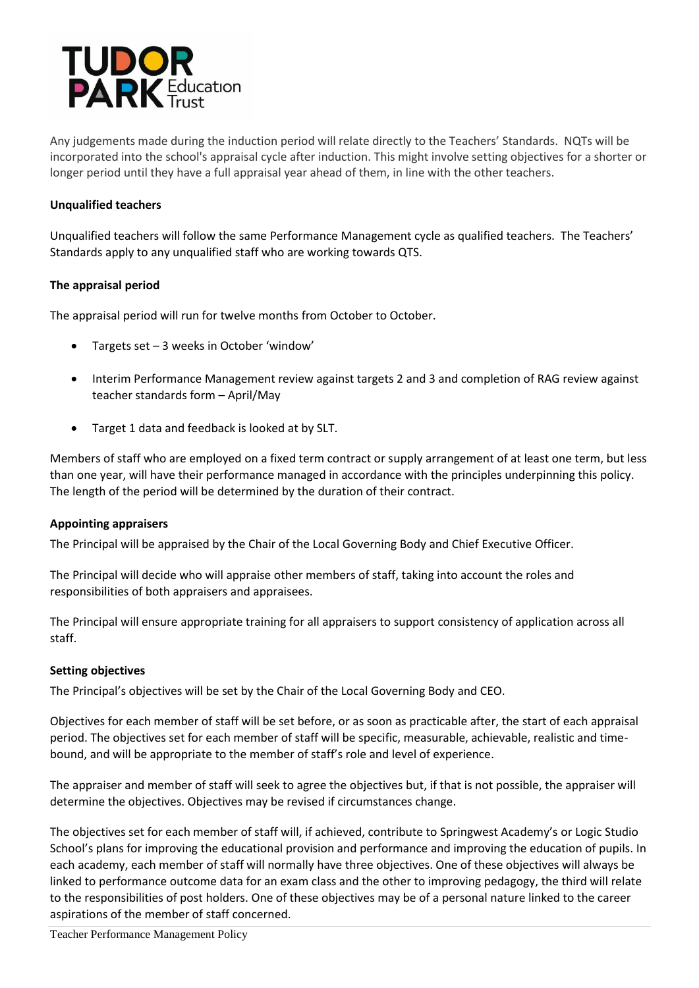

Any judgements made during the induction period will relate directly to the Teachers' Standards. NQTs will be incorporated into the school's appraisal cycle after induction. This might involve setting objectives for a shorter or longer period until they have a full appraisal year ahead of them, in line with the other teachers.

### **Unqualified teachers**

Unqualified teachers will follow the same Performance Management cycle as qualified teachers. The Teachers' Standards apply to any unqualified staff who are working towards QTS.

### **The appraisal period**

The appraisal period will run for twelve months from October to October.

- Targets set 3 weeks in October 'window'
- Interim Performance Management review against targets 2 and 3 and completion of RAG review against teacher standards form – April/May
- Target 1 data and feedback is looked at by SLT.

Members of staff who are employed on a fixed term contract or supply arrangement of at least one term, but less than one year, will have their performance managed in accordance with the principles underpinning this policy. The length of the period will be determined by the duration of their contract.

### **Appointing appraisers**

The Principal will be appraised by the Chair of the Local Governing Body and Chief Executive Officer.

The Principal will decide who will appraise other members of staff, taking into account the roles and responsibilities of both appraisers and appraisees.

The Principal will ensure appropriate training for all appraisers to support consistency of application across all staff.

### **Setting objectives**

The Principal's objectives will be set by the Chair of the Local Governing Body and CEO.

Objectives for each member of staff will be set before, or as soon as practicable after, the start of each appraisal period. The objectives set for each member of staff will be specific, measurable, achievable, realistic and timebound, and will be appropriate to the member of staff's role and level of experience.

The appraiser and member of staff will seek to agree the objectives but, if that is not possible, the appraiser will determine the objectives. Objectives may be revised if circumstances change.

The objectives set for each member of staff will, if achieved, contribute to Springwest Academy's or Logic Studio School's plans for improving the educational provision and performance and improving the education of pupils. In each academy, each member of staff will normally have three objectives. One of these objectives will always be linked to performance outcome data for an exam class and the other to improving pedagogy, the third will relate to the responsibilities of post holders. One of these objectives may be of a personal nature linked to the career aspirations of the member of staff concerned.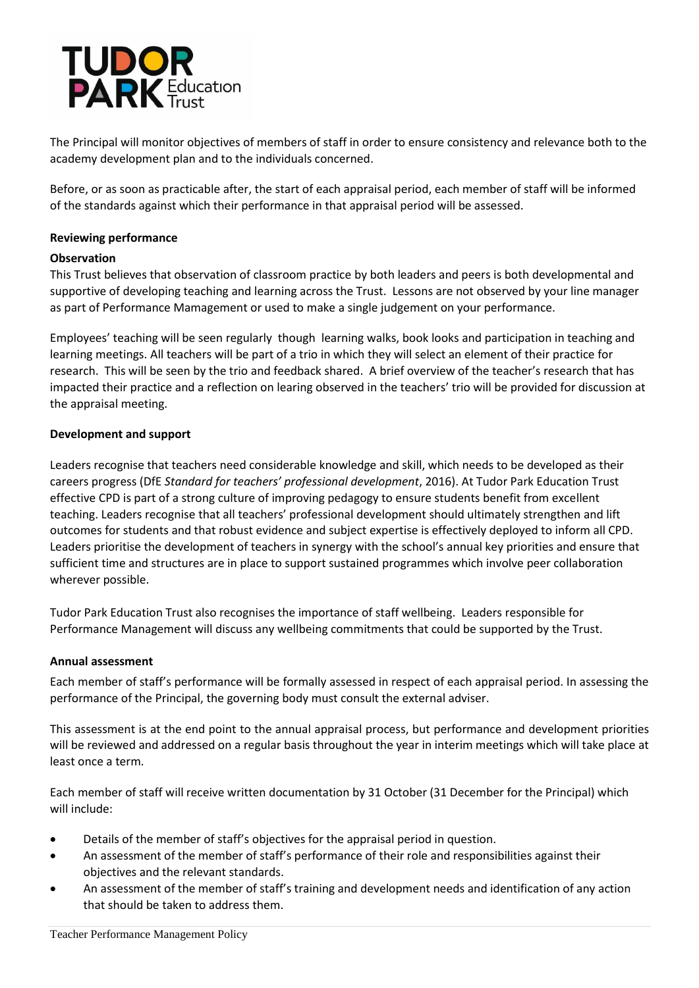

The Principal will monitor objectives of members of staff in order to ensure consistency and relevance both to the academy development plan and to the individuals concerned.

Before, or as soon as practicable after, the start of each appraisal period, each member of staff will be informed of the standards against which their performance in that appraisal period will be assessed.

## **Reviewing performance**

### **Observation**

This Trust believes that observation of classroom practice by both leaders and peers is both developmental and supportive of developing teaching and learning across the Trust. Lessons are not observed by your line manager as part of Performance Mamagement or used to make a single judgement on your performance.

Employees' teaching will be seen regularly though learning walks, book looks and participation in teaching and learning meetings. All teachers will be part of a trio in which they will select an element of their practice for research. This will be seen by the trio and feedback shared. A brief overview of the teacher's research that has impacted their practice and a reflection on learing observed in the teachers' trio will be provided for discussion at the appraisal meeting.

### **Development and support**

Leaders recognise that teachers need considerable knowledge and skill, which needs to be developed as their careers progress (DfE *Standard for teachers' professional development*, 2016). At Tudor Park Education Trust effective CPD is part of a strong culture of improving pedagogy to ensure students benefit from excellent teaching. Leaders recognise that all teachers' professional development should ultimately strengthen and lift outcomes for students and that robust evidence and subject expertise is effectively deployed to inform all CPD. Leaders prioritise the development of teachers in synergy with the school's annual key priorities and ensure that sufficient time and structures are in place to support sustained programmes which involve peer collaboration wherever possible.

Tudor Park Education Trust also recognises the importance of staff wellbeing. Leaders responsible for Performance Management will discuss any wellbeing commitments that could be supported by the Trust.

### **Annual assessment**

Each member of staff's performance will be formally assessed in respect of each appraisal period. In assessing the performance of the Principal, the governing body must consult the external adviser.

This assessment is at the end point to the annual appraisal process, but performance and development priorities will be reviewed and addressed on a regular basis throughout the year in interim meetings which will take place at least once a term*.*

Each member of staff will receive written documentation by 31 October (31 December for the Principal) which will include:

- Details of the member of staff's objectives for the appraisal period in question.
- An assessment of the member of staff's performance of their role and responsibilities against their objectives and the relevant standards.
- An assessment of the member of staff's training and development needs and identification of any action that should be taken to address them.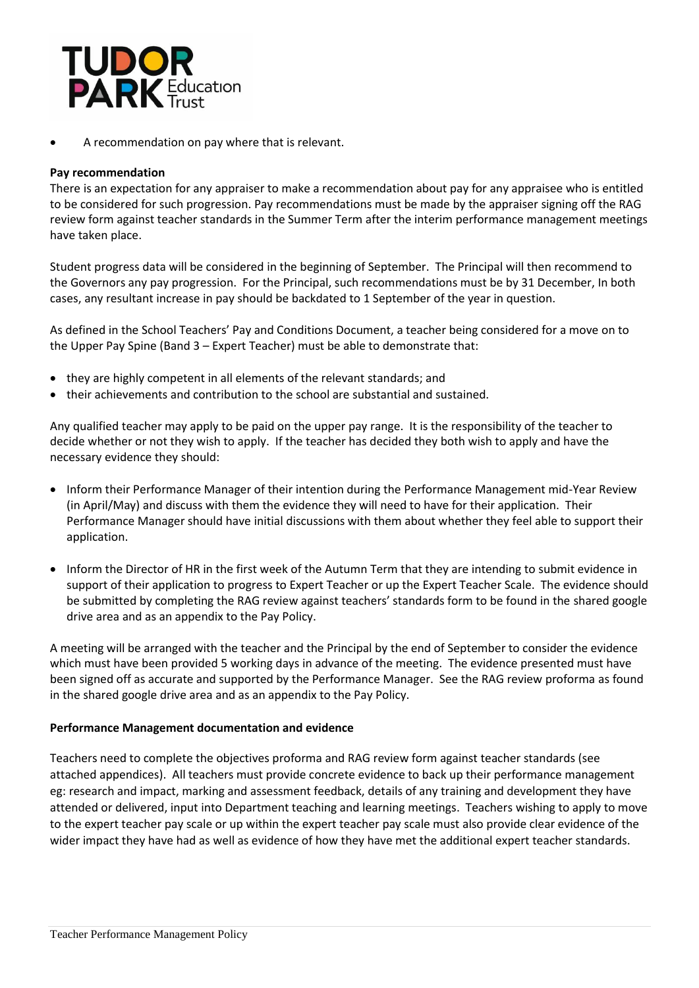

A recommendation on pay where that is relevant.

### **Pay recommendation**

There is an expectation for any appraiser to make a recommendation about pay for any appraisee who is entitled to be considered for such progression. Pay recommendations must be made by the appraiser signing off the RAG review form against teacher standards in the Summer Term after the interim performance management meetings have taken place.

Student progress data will be considered in the beginning of September. The Principal will then recommend to the Governors any pay progression. For the Principal, such recommendations must be by 31 December, In both cases, any resultant increase in pay should be backdated to 1 September of the year in question.

As defined in the School Teachers' Pay and Conditions Document, a teacher being considered for a move on to the Upper Pay Spine (Band 3 – Expert Teacher) must be able to demonstrate that:

- they are highly competent in all elements of the relevant standards; and
- their achievements and contribution to the school are substantial and sustained.

Any qualified teacher may apply to be paid on the upper pay range. It is the responsibility of the teacher to decide whether or not they wish to apply. If the teacher has decided they both wish to apply and have the necessary evidence they should:

- Inform their Performance Manager of their intention during the Performance Management mid-Year Review (in April/May) and discuss with them the evidence they will need to have for their application. Their Performance Manager should have initial discussions with them about whether they feel able to support their application.
- Inform the Director of HR in the first week of the Autumn Term that they are intending to submit evidence in support of their application to progress to Expert Teacher or up the Expert Teacher Scale. The evidence should be submitted by completing the RAG review against teachers' standards form to be found in the shared google drive area and as an appendix to the Pay Policy.

A meeting will be arranged with the teacher and the Principal by the end of September to consider the evidence which must have been provided 5 working days in advance of the meeting. The evidence presented must have been signed off as accurate and supported by the Performance Manager. See the RAG review proforma as found in the shared google drive area and as an appendix to the Pay Policy.

### **Performance Management documentation and evidence**

Teachers need to complete the objectives proforma and RAG review form against teacher standards (see attached appendices). All teachers must provide concrete evidence to back up their performance management eg: research and impact, marking and assessment feedback, details of any training and development they have attended or delivered, input into Department teaching and learning meetings. Teachers wishing to apply to move to the expert teacher pay scale or up within the expert teacher pay scale must also provide clear evidence of the wider impact they have had as well as evidence of how they have met the additional expert teacher standards.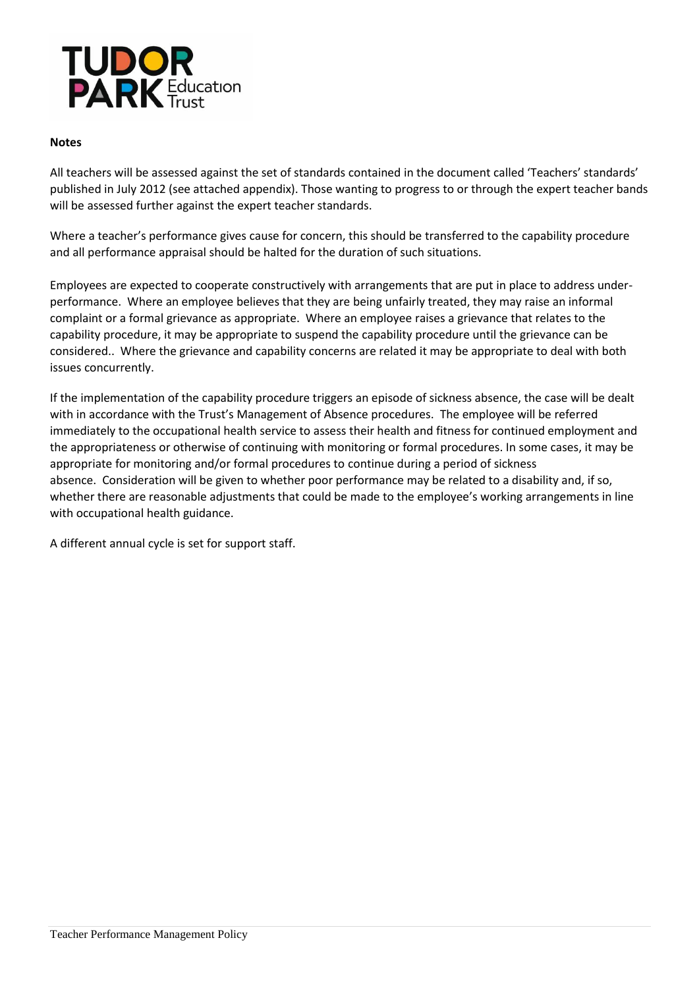

### **Notes**

All teachers will be assessed against the set of standards contained in the document called 'Teachers' standards' published in July 2012 (see attached appendix). Those wanting to progress to or through the expert teacher bands will be assessed further against the expert teacher standards.

Where a teacher's performance gives cause for concern, this should be transferred to the capability procedure and all performance appraisal should be halted for the duration of such situations.

Employees are expected to cooperate constructively with arrangements that are put in place to address underperformance. Where an employee believes that they are being unfairly treated, they may raise an informal complaint or a formal grievance as appropriate. Where an employee raises a grievance that relates to the capability procedure, it may be appropriate to suspend the capability procedure until the grievance can be considered.. Where the grievance and capability concerns are related it may be appropriate to deal with both issues concurrently.

If the implementation of the capability procedure triggers an episode of sickness absence, the case will be dealt with in accordance with the Trust's Management of Absence procedures. The employee will be referred immediately to the occupational health service to assess their health and fitness for continued employment and the appropriateness or otherwise of continuing with monitoring or formal procedures. In some cases, it may be appropriate for monitoring and/or formal procedures to continue during a period of sickness absence. Consideration will be given to whether poor performance may be related to a disability and, if so, whether there are reasonable adjustments that could be made to the employee's working arrangements in line with occupational health guidance.

A different annual cycle is set for support staff.